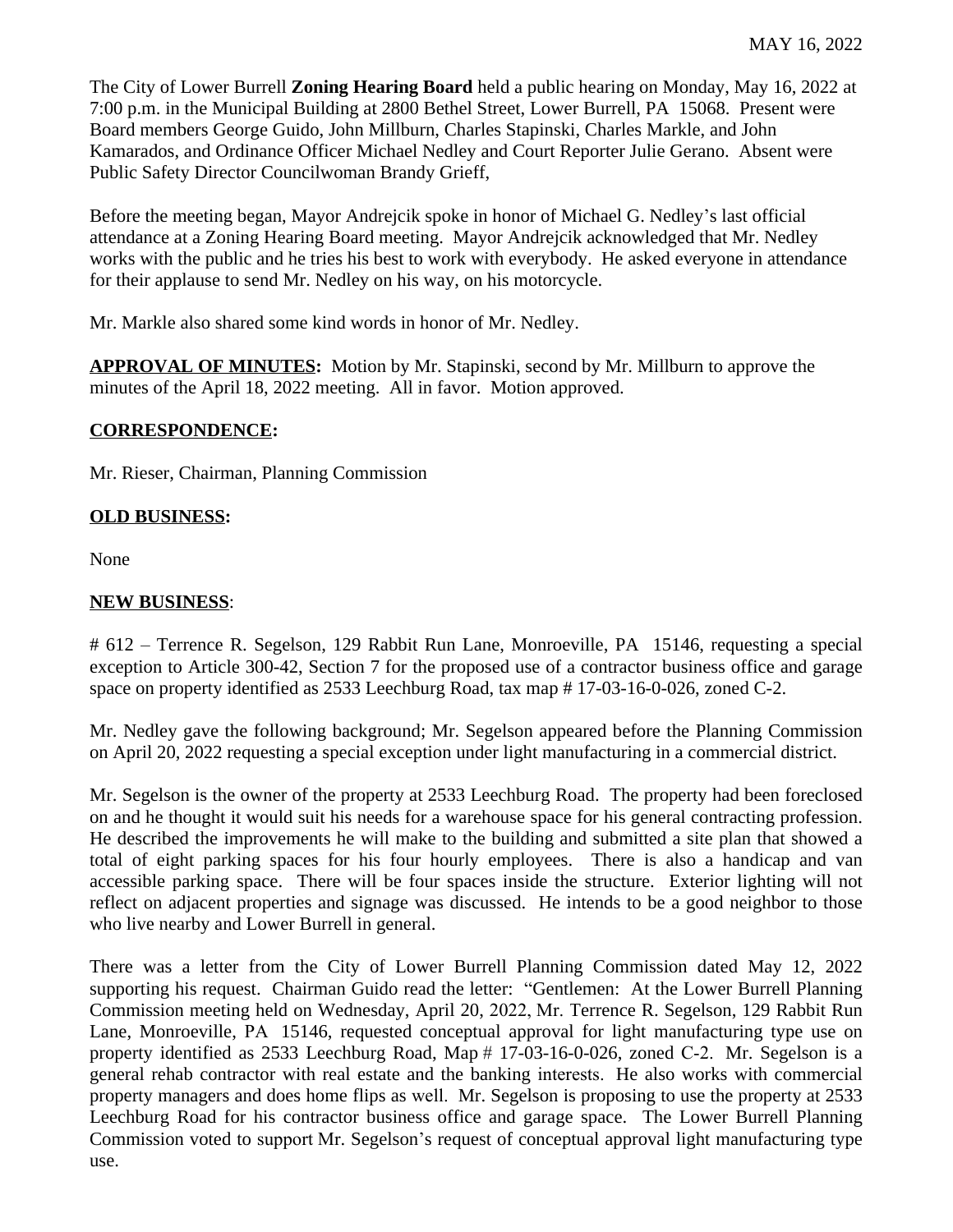The City of Lower Burrell **Zoning Hearing Board** held a public hearing on Monday, May 16, 2022 at 7:00 p.m. in the Municipal Building at 2800 Bethel Street, Lower Burrell, PA 15068. Present were Board members George Guido, John Millburn, Charles Stapinski, Charles Markle, and John Kamarados, and Ordinance Officer Michael Nedley and Court Reporter Julie Gerano. Absent were Public Safety Director Councilwoman Brandy Grieff,

Before the meeting began, Mayor Andrejcik spoke in honor of Michael G. Nedley's last official attendance at a Zoning Hearing Board meeting. Mayor Andrejcik acknowledged that Mr. Nedley works with the public and he tries his best to work with everybody. He asked everyone in attendance for their applause to send Mr. Nedley on his way, on his motorcycle.

Mr. Markle also shared some kind words in honor of Mr. Nedley.

**APPROVAL OF MINUTES:** Motion by Mr. Stapinski, second by Mr. Millburn to approve the minutes of the April 18, 2022 meeting. All in favor. Motion approved.

## **CORRESPONDENCE:**

Mr. Rieser, Chairman, Planning Commission

## **OLD BUSINESS:**

None

## **NEW BUSINESS**:

# 612 – Terrence R. Segelson, 129 Rabbit Run Lane, Monroeville, PA 15146, requesting a special exception to Article 300-42, Section 7 for the proposed use of a contractor business office and garage space on property identified as 2533 Leechburg Road, tax map # 17-03-16-0-026, zoned C-2.

Mr. Nedley gave the following background; Mr. Segelson appeared before the Planning Commission on April 20, 2022 requesting a special exception under light manufacturing in a commercial district.

Mr. Segelson is the owner of the property at 2533 Leechburg Road. The property had been foreclosed on and he thought it would suit his needs for a warehouse space for his general contracting profession. He described the improvements he will make to the building and submitted a site plan that showed a total of eight parking spaces for his four hourly employees. There is also a handicap and van accessible parking space. There will be four spaces inside the structure. Exterior lighting will not reflect on adjacent properties and signage was discussed. He intends to be a good neighbor to those who live nearby and Lower Burrell in general.

There was a letter from the City of Lower Burrell Planning Commission dated May 12, 2022 supporting his request. Chairman Guido read the letter: "Gentlemen: At the Lower Burrell Planning Commission meeting held on Wednesday, April 20, 2022, Mr. Terrence R. Segelson, 129 Rabbit Run Lane, Monroeville, PA 15146, requested conceptual approval for light manufacturing type use on property identified as 2533 Leechburg Road, Map # 17-03-16-0-026, zoned C-2. Mr. Segelson is a general rehab contractor with real estate and the banking interests. He also works with commercial property managers and does home flips as well. Mr. Segelson is proposing to use the property at 2533 Leechburg Road for his contractor business office and garage space. The Lower Burrell Planning Commission voted to support Mr. Segelson's request of conceptual approval light manufacturing type use.